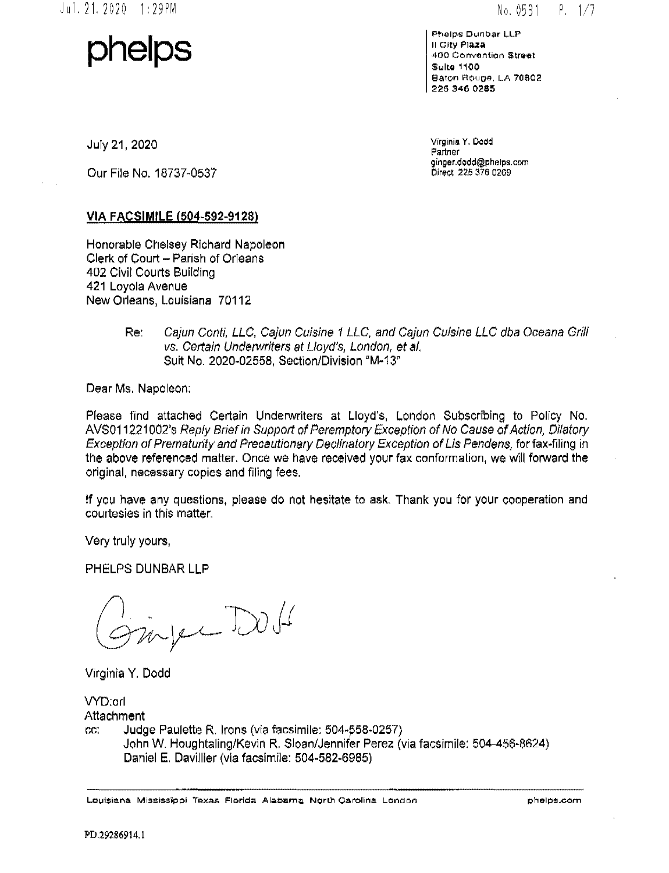$No. 0531 P. 1/7$ 

**phelps** 

Phelps Dunbar LLP II C tty **Plaza**  400 Convention Street Sulta 1100 Baton Rouge. LA 70802 225 346 0285

July 21, 2020

Our File No. 18737-0537

Virginia Y. Dodd Partner ginger.dodd@phelps.com Direct 225 376 0269

### VIA FACSIMILE (504-592-9128)

Honorable Chelsey Richard Napoleon Clerk of Court- Parish of Orleans 402 Civil Courts Building 421 Loyola Avenue New Orleans, Louisiana 70112

#### Re: Cajun Conti, LLC, Cajun Cuisine 1 LLC. and Cajun Cuisine LLC dba Oceana Grill vs. Certain Underwriters at Lloyd's, London, et at. Suit No. 2020-02558, Section/Division "M-13'

Dear Ms. Napoleon:

Please find attached Certain Underwriters at Lloyd's, London Subscribing to Policy No. AV\$011221002's Reply Brief in Support of Peremptory Exception of No Cause of Action, Dilatory Exception of Prematurity and Precautionary Declinatory Exception of Lis Pendens, for fax-filing in the above referenced matter. Once we have received your fax conformation, we will forward the original, necessary copies and filing fees.

If you have any questions, please do not hesitate to ask. Thank you for your cooperation and courtesies in this matter.

Very truly yours,

PHELPS DUNBAR LLP

inject DOS

Virginia Y. Dodd

VYD:orl Attachment cc: Judge Paulette R. Irons (via facsimile: 504-558-0257) John W. Houghtaling/Kevin R. Sloan/Jennifer Perez (via facsimile: 504-456·8624) Daniel E. Davillier (via facsimile: 504-582-6985)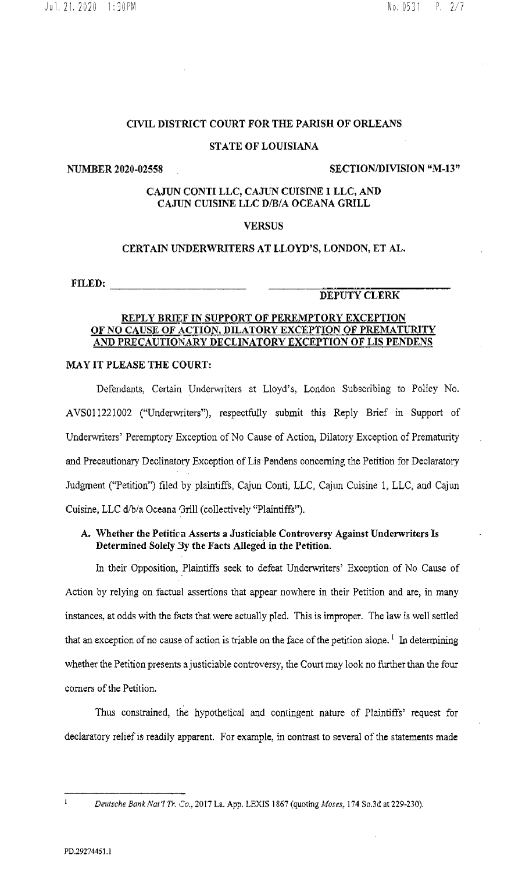# CIVIL DISTRICT COURT FOR THE PARISH OF ORLEANS

## STATE OF LOUISIANA

NUMBER 2020-02558 SECTION/DIVISION "M-13"

## CAJUN CONTI LLC, CAJUN CUISINE 1 LLC, AND CAJUN CUISINE LLC D/B/A OCEANA GRILL

### **VERSUS**

### CERTAIN UNDERWRITERS AT LLOYD'S, LONDON, ET AL.

FILED: \_\_\_\_\_\_\_\_ \_

## DEPUTY CLERK

# REPLY BRIEF IN SUPPORT OF PEREMPTORY EXCEPTION OF NO CAUSE OF ACTION, DILATORY EXCEPTION OF PREMATURITY AND PRECAUTIONARY DECLINATORY EXCEPTION OF LIS PENDENS

### MAY IT PLEASE THE COURT:

Defendants, Certain Underwriters at Lloyd's, London Subscribing to Policy No. AVS011221002 ("Underwriters"), respectfully submit this Reply Brief in Support of Underwriters' Peremptory Exception of No Cause of Action, Dilatory Exception of Prematurity and Precautionary Declinatory Exception of Lis Pendens concerning the Petition for Declaratory Judgment ("Petition") filed by plaintiffs, Cajun Conti, LLC, Cajun Cuisine 1, LLC, and Cajun Cuisine, LLC d/b/a Oceana 'Jrill (collectively "Plaintiffs").

# A. Whether the Petiticn Asserts a Justiciable Controversy Against Underwriters Is Determined Solely 3y the Facts Alleged in the Petition.

In their Opposition, Plaintiffs seek to defeat Underwriters' Exception of No Cause of Action by relying on tactual assertions that appear nowhere in their Petition and are, in many instances, at odds with the facts that were actually pled. This is improper. The law is well settled that an exception of no cause of action is triable on the face of the petition alone.<sup>1</sup> In determining whether the Petition presents a justiciable controversy, the Court may look no further than the four corners of the Petition.

Thus constrained, the hypothetical and contingent nature of Plaintiffs' request for declaratory relief is readily apparent. For example, in contrast to several of the statements made

 $\mathbf{1}$ 

*D?utsche Bcrnk Nat'/ Tr. Co.,* 2017 La. App. LEXIS 1867 (quoting *Moses,* 174 So .3d at 229-230).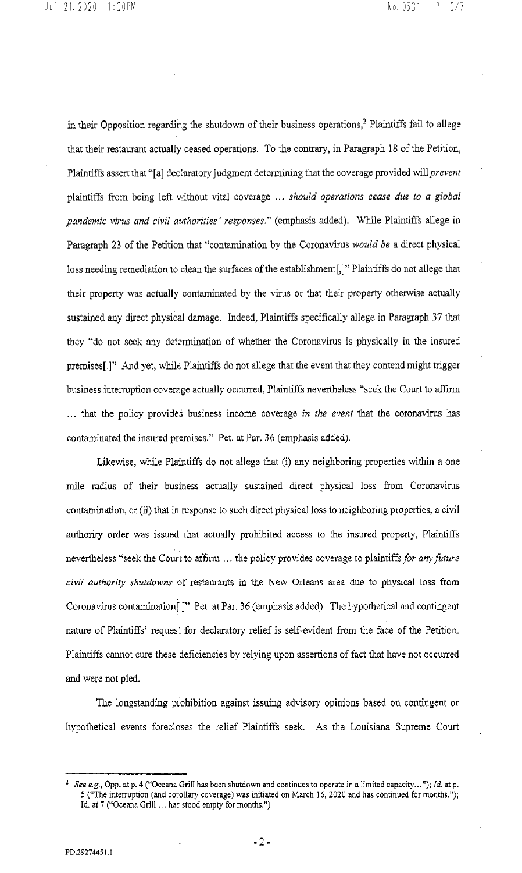in their Opposition regarding the shutdown of their business operations,<sup>2</sup> Plaintiffs fail to allege that their restaurant actually ceased operations. To the contrary, in Paragraph 18 of the Petition, Plaintiffs assert that "[a] dec:aratory judgment determining that the coverage provided will *prevent*  plaintiffs from being left without vital coverage ... *should operations cease due to a global pandemic virus and civil authorities· responses."* (emphasis added). While Plaintiffs allege in Paragraph 23 of the Petition that "contamination by the Coronavirus *would be* a direct physical loss needing remediation to clean the surfaces of the establishment[,]" Plaintiffs do not allege that their property was actually contaminated by the virus or that their property otherwise actually sustained any direct physical damage. Indeed, Plaintiffs specifically allege in Paragraph 37 that they "do not seek any determination of whether the Coronavirus is physically in the insured premises[.]" And yet, while Plaintiffs do not allege that the event that they contend might trigger business interruption coverage actually occurred, Plaintiffs nevertheless "seek the Court to affirm ... that the policy provides business income coverage *in the event* that the coronavirus has contaminated the insured premises." Pet. at Par. 36 (emphasis added).

Likewise, while Plaintiffs do not allege that (i) any neighboring properties within a one mile radius of their business actually sustained direct physical loss from Coronavirus contamination, or (ii) that in response to such direct physical loss to neighboring properties, a civil authority order was issued that actually prohibited access to the insured property, Plaintiffs nevertheless "seek the Court to affirm ... the policy provides coverage to plaintiffs *for any future*  civil authority shutdowns of restaurants in the New Orleans area due to physical loss from Coronavirus contamination<sup>[1]</sup> Pet. at Par. 36 (emphasis added). The hypothetical and contingent nature of Plaintiffs' reques: for declaratory relief is self-evident from the face of the Petition. Plaintiffs cannot cure these deficiencies by relying upon assertions offact that have not occurred and were not pled.

The longstanding prohibition against issuing advisory opinions based on contingent or hypothetical events forecloses the relief Plaintiffs seek. As the Louisiana Supreme Court

<sup>2</sup>*See e.g.,* Opp. at p. 4 ("Oceana Grill has been shutdown and continues to operate in a limited capacity ... "); *!d.* at p. 5 ("The interruption (and corollary coverage) was initiated on March 16, 2020 and has continued for months."); Id. at 7 ("Oceana Grill ... ha: stood empty for months.")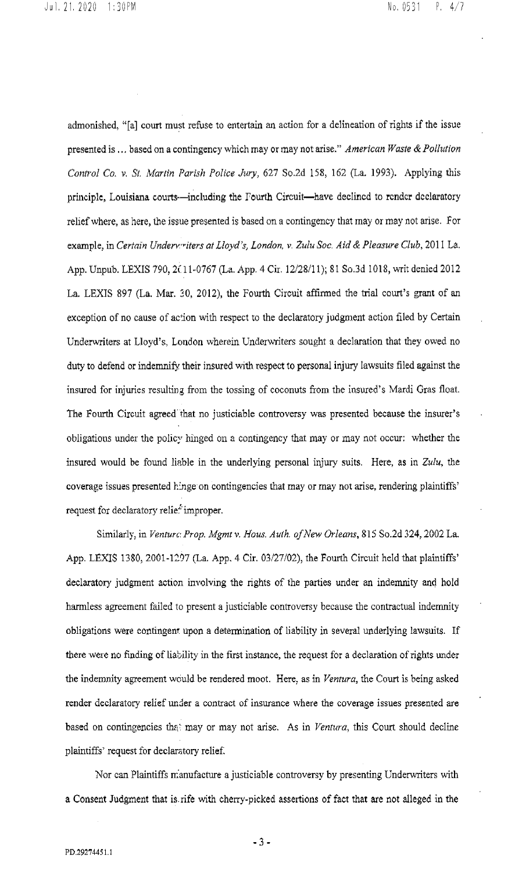admonished, "[a] court must refuse to entertain an action for a delineation of rights if the issue presented is ... based on a contingency which may or may not arise." *American Waste* & *Pollution Control Co. v. St. Martin Parish Police Jury,* 627 So.2d 158, 162 (La. 1993). Applying this principle, Louisiana courts--including the Fourth Circuit-have declined to render declaratory relief where, as here, the issue presented is based on a contingency that may or may not arise. for exan1ple, in *Certain Underv.••iters at Lloyd's, London,* v. *Zulu Soc. Aid* & *Pleasure Club,* 2011 La. App. Unpub. LEXIS 790, 2(11-0767 (La. App. 4 Cir. 12/28/11); 81 So.3d 1018, writ denied 2012 La. LEXIS 897 (La. Mar. 30, 2012), the Fourth Circuit affirmed the trial court's grant of an exception of no cause of action with respect to the declaratory judgment action filed by Certain Underwriters at Lloyd's, London wherein Underwriters sought a declaration that they owed no duty to defend or indemnify their insured with respect to personal injury lawsuits filed against the insured for injuries resulting from the tossing of coconuts from the insured's Mardi Gras float. The Fourth Circuit agreed that no justiciable controversy was presented because the insurer's obligations under the policy hinged on a contingency that may or may not occur: whether the insured would be found liable in the underlying personal injury suits. Here, as in *Zulu,* the coverage issues presented hinge on contingencies that may or may not arise, rendering plaintiffs' request for declaratory relie<sup>2</sup> improper.

Similarly, in *Venturc: Prop. Mgmt v. Hous. Auth. of New Orleans*, 815 So.2d 324, 2002 La. App. LEXIS 1380, 2001-1297 (La. App. 4 Cir. 03/27/02), the Fourth Circuit held that plaintiffs' declaratory judgment action involving the rights of the parties under an indenmity and hold harmless agreement failed to present a justiciable controversy because the contractual indemnity obligations were contingent upon a determination of liability in several underlying lawsuits. If there were no finding of liability in the first instance, the request for a declaration of rights under the indemnity agreement would be rendered moot. Here, as in *Ventura,* the Court is being asked render declaratory relief under a contract of insurance where the coverage issues presented are based on contingencies that may or may not arise. As in *Ventura*, this Court should decline plaintiffs' request for declaratory relief.

Nor can Plaintiffs nianufacture a justiciable controversy by presenting Underwriters with a Consent Judgment that is rife with cherry·picked assertions of fact that are not alleged in the

• 3 •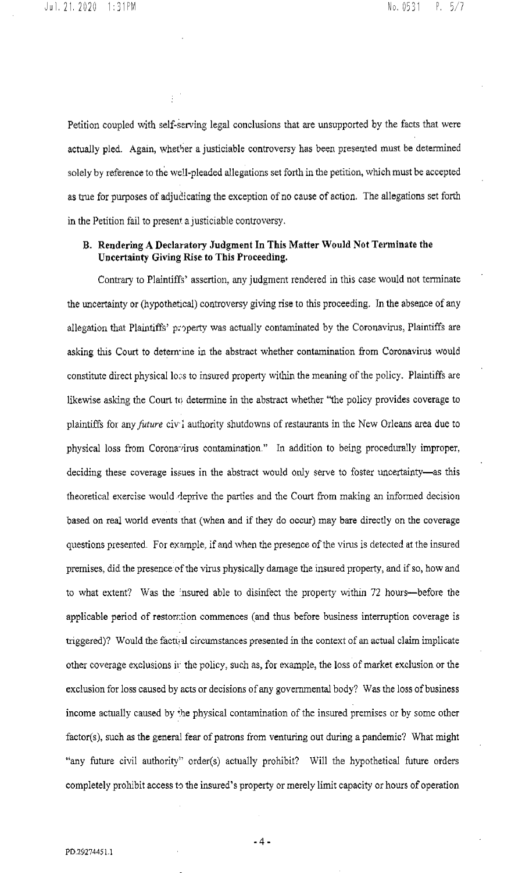Petition coupled with self-serving legal conclusions that are unsupported by the facts that were actually pled. Again, whether a justiciable controversy has been presented must be determined solely by reference to the well-pleaded allegations set forth in the petition, whlch must be accepted as true for purposes of adjudicating the exception of no cause of action. The allegations set forth in the Petition fail to present a justiciable controversy.

# **B. Rendering A Declaratory Judgment In This Matter Would Not Terminate the Uncertainty Giving Rise to This Proceeding.**

Contrary to Plaintiffs' assertion, any judgment rendered in this case would not terminate the uncertainty or (hypothetical) controversy giving rise to this proceeding. In the absence of any allegation that Plaintiffs' property was actually contaminated by the Coronavirus, Plaintiffs are asking this Court to detem-ine in the abstract whether contamination from Coronavirus would constitute direct physicallo:'s to insured property within *the* meaning of the policy. Plaintiffs are likewise asking the Court to determine in the abstract whether "the policy provides coverage to plaintiffs for any *future* civ<sup>1</sup> authority shutdowns of restaurants in the New Orleans area due to physical loss from Corona-irus contamination." In addition to being procedurally improper, deciding these coverage issues in the abstract would only serve to foster uncertainty-as this theoretical exercise would deprive the parties and the Court from making an informed decision based on real world events that (when and if they do occur) may bare directly on the coverage questions presented. For example, if and when the presence of the vims is detected at the insured premises, did the presence cfthe virus physically damage the insured property, and if so, how and to what extent? Was the insured able to disinfect the property within 72 hours-before the applicable period of restoration commences (and thus before business interruption coverage is triggered)? Would the factual circumstances presented in the context of an actual claim implicate other coverage exclusions ir the policy, such as, for example, the loss of market exclusion or the exclusion for loss caused by acts or decisions of any governmental body? Was the loss of business income actually caused by the physical contamination of the insured premises or by some other factor(s), such as the general fear of patrons from venturing out during a pandemic? What might "any future civil authority" order(s) actually prohibit? Will the hypothetical future orders completely prohibit access to the insured's property or merely limit capacity or hours of operation

-4-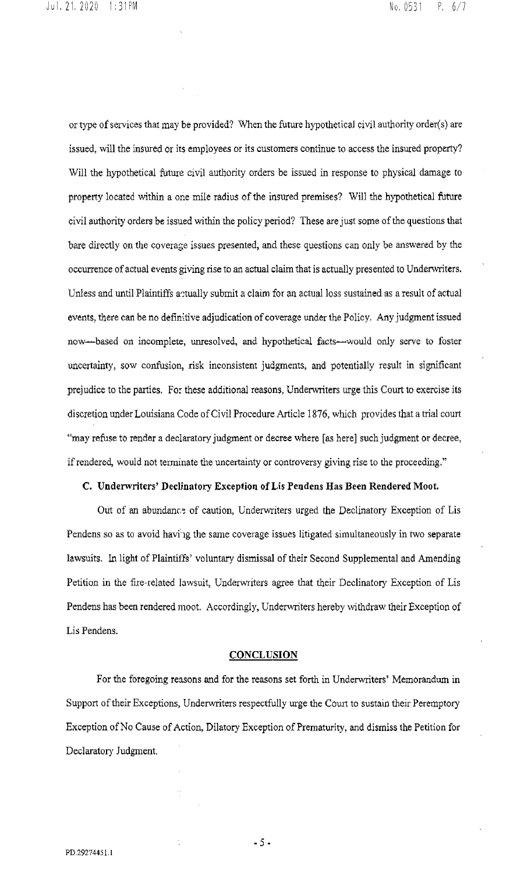or type of services that may *be* provided? When the future hypothetical civil authority order(s) are issued, will the insured or its employees or its customers continue to access the insured property? Will the hypothetical future civil authority orders be issued in response to physical damage to property located within a one mile radius of the insured premises? Will the hypothetical future civil authority orders be issued within the policy period? These are just some of the questions that bare directly on the coverage issues presented, and these questions can only be answered by the occurrence of actual events giving rise to an actual claim that is actually presented to Underwriters. Unless and until Plaintiffs actually submit a claim for an actual loss sustained as a result of actual events, there can be no definitive adjudication of coverage under the Policy. Any judgment issued now-based on incomplete, unresolved, and hypothetical facts-would only serve to foster uncertainty, sow confusion, risk inconsistent judgments, and potentially result in significant prejudice to the parties. For these additional reasons, Underwriters urge this Court to exercise its discretion under Louisiana Code of Civil Procedure Article 1876, which provides that a trial court "may refuse to render a declaratory judgment or decree where [as here] such judgment or decree, if rendered, would not terminate the uncertainty or controversy giving rise to the proceeding."

#### **C. Underwriters' Declinatory Exception of Lis Pendens Has Been Rendered Moot.**

Out of an abundance of caution, Underwriters urged the Declinatory Exception of Lis Pendens so as to avoid having the same coverage issues litigated simultaneously in two separate lawsuits. In light of Plaintiffs' voluntary dismissal of their Second Supplemental and Amending Petition in the tire-related lawsuit, Underwriters agree that their Declinatory Exception of Lis Pendens has been rendered moot. Accordingly, Underwriters hereby withdraw their Exception of Lis Pendens.

### **CONCLUSION**

For the foregoing reasons and for the reasons set forth in Underwriters' Memorandum in Support of their Exceptions, Underwriters respectfully urge the Court to sustain their Peremptory Exception of No Cause of Action, Dilatory Exception of Prematurity, and dismiss the Petition for Declaratory Judgment.